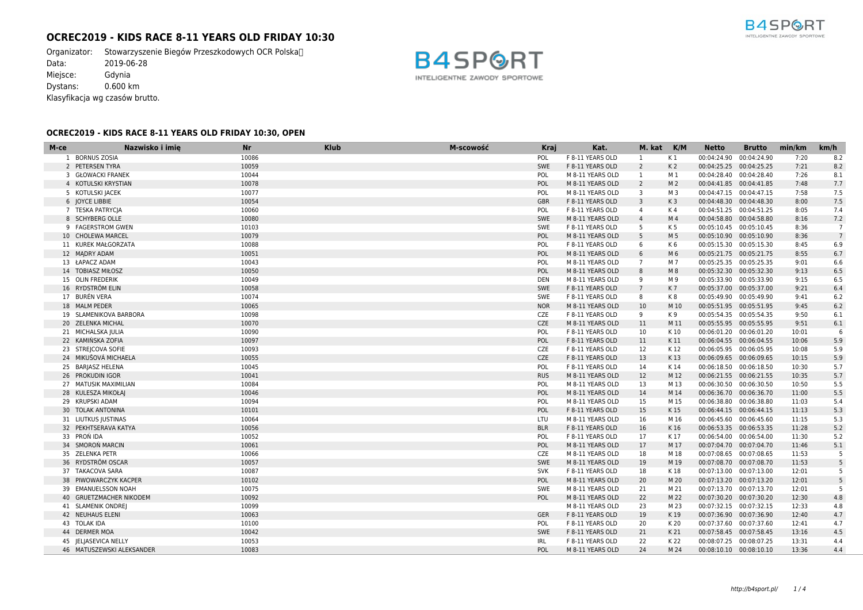# **OCREC2019 - KIDS RACE 8-11 YEARS OLD FRIDAY 10:30**

Organizator: Stowarzyszenie Biegów Przeszkodowych OCR Polska<sup>nd</sup><br>Data: 2019-06-28  $2019-06-28$ Miejsce: Gdynia Dystans: 0.600 km Klasyfikacja wg czasów brutto.



# **OCREC2019 - KIDS RACE 8-11 YEARS OLD FRIDAY 10:30, OPEN**

| M-ce | Nazwisko i imię           | <b>Nr</b> | <b>Klub</b> | M-scowość | Kraj       | Kat.             | M. kat K/M     |                | <b>Netto</b>             | <b>Brutto</b> | min/km | km/h            |
|------|---------------------------|-----------|-------------|-----------|------------|------------------|----------------|----------------|--------------------------|---------------|--------|-----------------|
|      | 1 BORNUS ZOSIA            | 10086     |             |           | POL        | F 8-11 YEARS OLD | 1              | K 1            | 00:04:24.90 00:04:24.90  |               | 7:20   | 8.2             |
|      | 2 PETERSEN TYRA           | 10059     |             |           | SWE        | F 8-11 YEARS OLD | $\overline{2}$ | K <sub>2</sub> | 00:04:25.25 00:04:25.25  |               | 7:21   | 8.2             |
|      | 3 GŁOWACKI FRANEK         | 10044     |             |           | POL        | M 8-11 YEARS OLD | $\mathbf{1}$   | M 1            | 00:04:28.40 00:04:28.40  |               | 7:26   | 8.1             |
|      | 4 KOTULSKI KRYSTIAN       | 10078     |             |           | POL        | M 8-11 YEARS OLD | $\overline{2}$ | M <sub>2</sub> | 00:04:41.85  00:04:41.85 |               | 7:48   | 7.7             |
|      | 5 KOTULSKI JACEK          | 10077     |             |           | POL        | M 8-11 YEARS OLD | 3              | M 3            | 00:04:47.15 00:04:47.15  |               | 7:58   | 7.5             |
|      | 6 JOYCE LIBBIE            | 10054     |             |           | <b>GBR</b> | F 8-11 YEARS OLD | $\overline{3}$ | K <sub>3</sub> | 00:04:48.30 00:04:48.30  |               | 8:00   | 7.5             |
|      | 7 TESKA PATRYCIA          | 10060     |             |           | <b>POL</b> | F 8-11 YEARS OLD | 4              | K 4            | 00:04:51.25 00:04:51.25  |               | 8:05   | 7.4             |
|      | 8 SCHYBERG OLLE           | 10080     |             |           | SWE        | M 8-11 YEARS OLD | $\overline{4}$ | M 4            | 00:04:58.80 00:04:58.80  |               | 8:16   | 7.2             |
|      | 9 FAGERSTROM GWEN         | 10103     |             |           | SWE        | F 8-11 YEARS OLD | 5              | K 5            | 00:05:10.45 00:05:10.45  |               | 8:36   | $\overline{7}$  |
|      | 10 CHOLEWA MARCEL         | 10079     |             |           | POL        | M 8-11 YEARS OLD | 5              | M 5            | 00:05:10.90 00:05:10.90  |               | 8:36   | $7\overline{ }$ |
|      | 11 KUREK MAŁGORZATA       | 10088     |             |           | POL        | F 8-11 YEARS OLD | 6              | K6             | 00:05:15.30 00:05:15.30  |               | 8:45   | 6.9             |
|      | 12 MADRY ADAM             | 10051     |             |           | POL        | M 8-11 YEARS OLD | 6              | M <sub>6</sub> | 00:05:21.75 00:05:21.75  |               | 8:55   | 6.7             |
|      | 13 ŁAPACZ ADAM            | 10043     |             |           | POL        | M 8-11 YEARS OLD | $\overline{7}$ | M 7            | 00:05:25.35 00:05:25.35  |               | 9:01   | 6.6             |
|      | 14 TOBIASZ MIŁOSZ         | 10050     |             |           | POL        | M 8-11 YEARS OLD | 8              | M 8            | 00:05:32.30 00:05:32.30  |               | 9:13   | 6.5             |
|      | 15 OLIN FREDERIK          | 10049     |             |           | <b>DEN</b> | M 8-11 YEARS OLD | -9             | M 9            | 00:05:33.90 00:05:33.90  |               | 9:15   | 6.5             |
|      | 16 RYDSTRÖM ELIN          | 10058     |             |           | SWE        | F 8-11 YEARS OLD | $7^{\circ}$    | K7             | 00:05:37.00 00:05:37.00  |               | 9:21   | 6.4             |
|      | 17 BURÉN VERA             | 10074     |             |           | SWE        | F 8-11 YEARS OLD | 8              | K8             | 00:05:49.90 00:05:49.90  |               | 9:41   | 6.2             |
|      | 18 MALM PEDER             | 10065     |             |           | <b>NOR</b> | M 8-11 YEARS OLD | 10             | M 10           | 00:05:51.95 00:05:51.95  |               | 9:45   | 6.2             |
|      | 19 SLAMENIKOVA BARBORA    | 10098     |             |           | <b>CZE</b> | F 8-11 YEARS OLD | 9              | K 9            | 00:05:54.35 00:05:54.35  |               | 9:50   | 6.1             |
|      | 20 ZELENKA MICHAL         | 10070     |             |           | CZE        | M 8-11 YEARS OLD | 11             | M 11           | 00:05:55.95 00:05:55.95  |               | 9:51   | $6.1\,$         |
|      | 21 MICHALSKA JULIA        | 10090     |             |           | <b>POL</b> | F 8-11 YEARS OLD | 10             | K 10           | 00:06:01.20 00:06:01.20  |               | 10:01  | 6               |
|      | 22 KAMIŃSKA ZOFIA         | 10097     |             |           | POL        | F 8-11 YEARS OLD | 11             | K 11           | 00:06:04.55 00:06:04.55  |               | 10:06  | 5.9             |
|      | 23 STREJCOVA SOFIE        | 10093     |             |           | <b>CZE</b> | F 8-11 YEARS OLD | 12             | K 12           | 00:06:05.95 00:06:05.95  |               | 10:08  | 5.9             |
|      | 24 MIKUŠOVÁ MICHAELA      | 10055     |             |           | CZE        | F 8-11 YEARS OLD | 13             | K13            | 00:06:09.65 00:06:09.65  |               | 10:15  | 5.9             |
|      | 25 BARJASZ HELENA         | 10045     |             |           | <b>POL</b> | F 8-11 YEARS OLD | 14             | K 14           | 00:06:18.50 00:06:18.50  |               | 10:30  | 5.7             |
|      | 26 PROKUDIN IGOR          | 10041     |             |           | <b>RUS</b> | M 8-11 YEARS OLD | 12             | M 12           | 00:06:21.55 00:06:21.55  |               | 10:35  | 5.7             |
|      | 27 MATUSIK MAXIMILIAN     | 10084     |             |           | POL        | M 8-11 YEARS OLD | 13             | M 13           | 00:06:30.50 00:06:30.50  |               | 10:50  | 5.5             |
|      | 28 KULESZA MIKOŁAJ        | 10046     |             |           | POL        | M 8-11 YEARS OLD | 14             | M 14           | 00:06:36.70 00:06:36.70  |               | 11:00  | 5.5             |
|      | 29 KRUPSKI ADAM           | 10094     |             |           | POL        | M 8-11 YEARS OLD | 15             | M 15           | 00:06:38.80 00:06:38.80  |               | 11:03  | 5.4             |
|      | 30 TOLAK ANTONINA         | 10101     |             |           | POL        | F 8-11 YEARS OLD | 15             | K 15           | 00:06:44.15 00:06:44.15  |               | 11:13  | 5.3             |
|      | 31 LIUTKUS JUSTINAS       | 10064     |             |           | LTU        | M 8-11 YEARS OLD | 16             | M 16           | 00:06:45.60 00:06:45.60  |               | 11:15  | 5.3             |
|      | 32 PEKHTSERAVA KATYA      | 10056     |             |           | <b>BLR</b> | F 8-11 YEARS OLD | 16             | K 16           | 00:06:53.35 00:06:53.35  |               | 11:28  | 5.2             |
|      | 33 PRON IDA               | 10052     |             |           | POL        | F 8-11 YEARS OLD | 17             | K 17           | 00:06:54.00 00:06:54.00  |               | 11:30  | 5.2             |
|      | 34 SMOROŃ MARCIN          | 10061     |             |           | POL        | M 8-11 YEARS OLD | 17             | M 17           | 00:07:04.70 00:07:04.70  |               | 11:46  | 5.1             |
|      | 35 ZELENKA PETR           | 10066     |             |           | <b>CZE</b> | M 8-11 YEARS OLD | 18             | M 18           | 00:07:08.65 00:07:08.65  |               | 11:53  | - 5             |
|      | 36 RYDSTRÖM OSCAR         | 10057     |             |           | SWE        | M 8-11 YEARS OLD | 19             | M 19           | 00:07:08.70 00:07:08.70  |               | 11:53  | 5               |
|      | 37 TAKACOVA SARA          | 10087     |             |           | <b>SVK</b> | F 8-11 YEARS OLD | 18             | K 18           | 00:07:13.00 00:07:13.00  |               | 12:01  | 5               |
|      | 38 PIWOWARCZYK KACPER     | 10102     |             |           | <b>POL</b> | M 8-11 YEARS OLD | 20             | M 20           | 00:07:13.20 00:07:13.20  |               | 12:01  | 5               |
|      | 39 EMANUELSSON NOAH       | 10075     |             |           | SWE        | M 8-11 YEARS OLD | 21             | M 21           | 00:07:13.70 00:07:13.70  |               | 12:01  | 5               |
|      | 40 GRUETZMACHER NIKODEM   | 10092     |             |           | <b>POL</b> | M 8-11 YEARS OLD | 22             | M 22           | 00:07:30.20 00:07:30.20  |               | 12:30  | 4.8             |
|      | 41 SLAMENIK ONDREJ        | 10099     |             |           |            | M 8-11 YEARS OLD | 23             | M 23           | 00:07:32.15 00:07:32.15  |               | 12:33  | 4.8             |
|      | 42 NEUHAUS ELENI          | 10063     |             |           | <b>GER</b> | F 8-11 YEARS OLD | 19             | K 19           | 00:07:36.90 00:07:36.90  |               | 12:40  | 4.7             |
|      | 43 TOLAK IDA              | 10100     |             |           | POL        | F 8-11 YEARS OLD | 20             | K 20           | 00:07:37.60 00:07:37.60  |               | 12:41  | 4.7             |
|      | 44 DERMER MOA             | 10042     |             |           | SWE        | F 8-11 YEARS OLD | 21             | K 21           | 00:07:58.45 00:07:58.45  |               | 13:16  | 4.5             |
|      | 45 JELJASEVICA NELLY      | 10053     |             |           | <b>IRL</b> | F 8-11 YEARS OLD | 22             | K 22           | 00:08:07.25 00:08:07.25  |               | 13:31  | 4.4             |
|      | 46 MATUSZEWSKI ALEKSANDER | 10083     |             |           | POL        | M 8-11 YEARS OLD | 24             | M 24           | 00:08:10.10 00:08:10.10  |               | 13:36  | 4.4             |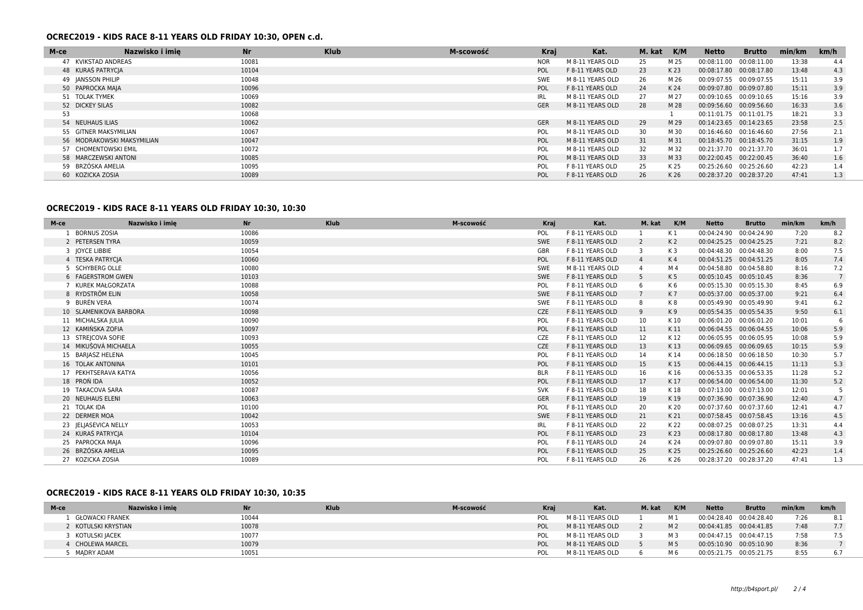#### **OCREC2019 - KIDS RACE 8-11 YEARS OLD FRIDAY 10:30, OPEN c.d.**

| M-ce                       | Nazwisko i imie | <b>Nr</b> | <b>Klub</b> | M-scowość | <b>Kraj</b> | Kat.             | M. kat | K/M  | Netto                   | <b>Brutto</b> | min/km | km/h |
|----------------------------|-----------------|-----------|-------------|-----------|-------------|------------------|--------|------|-------------------------|---------------|--------|------|
| 47 KVIKSTAD ANDREAS        |                 | 10081     |             |           | <b>NOR</b>  | M 8-11 YEARS OLD | 25     | M 25 | 00:08:11.00             | 00:08:11.00   | 13:38  | 4.4  |
| 48 KURAŚ PATRYCJA          |                 | 10104     |             |           | <b>POL</b>  | F 8-11 YEARS OLD | 23     | K 23 | 00:08:17.80             | 00:08:17.80   | 13:48  | 4.3  |
| 49 JANSSON PHILIP          |                 | 10048     |             |           | <b>SWE</b>  | M 8-11 YEARS OLD | 26     | M 26 | 00:09:07.55 00:09:07.55 |               | 15:11  | 3.9  |
| 50 PAPROCKA MAJA           |                 | 10096     |             |           | <b>POL</b>  | F 8-11 YEARS OLD | 24     | K 24 | 00:09:07.80 00:09:07.80 |               | 15:11  | 3.9  |
| 51 TOLAK TYMEK             |                 | 10069     |             |           | IRL.        | M 8-11 YEARS OLD | 27     | M 27 | 00:09:10.65             | 00:09:10.65   | 15:16  | 3.9  |
| 52 DICKEY SILAS            |                 | 10082     |             |           | <b>GER</b>  | M 8-11 YEARS OLD | 28     | M 28 | 00:09:56.60 00:09:56.60 |               | 16:33  | 3.6  |
| 53                         |                 | 10068     |             |           |             |                  |        |      | 00:11:01.75 00:11:01.75 |               | 18:21  | 3.3  |
| 54 NEUHAUS ILIAS           |                 | 10062     |             |           | <b>GER</b>  | M 8-11 YEARS OLD | 29     | M 29 | 00:14:23.65 00:14:23.65 |               | 23:58  | 2.5  |
| 55 GITNER MAKSYMILIAN      |                 | 10067     |             |           | POL         | M 8-11 YEARS OLD | 30     | M 30 | 00:16:46.60 00:16:46.60 |               | 27:56  | 2.1  |
| 56 MODRAKOWSKI MAKSYMILIAN |                 | 10047     |             |           | POL         | M 8-11 YEARS OLD | 31     | M 31 | 00:18:45.70 00:18:45.70 |               | 31:15  | 1.9  |
| 57 CHOMENTOWSKI EMIL       |                 | 10072     |             |           | <b>POL</b>  | M 8-11 YEARS OLD | 32     | M 32 | 00:21:37.70 00:21:37.70 |               | 36:01  | 1.7  |
| 58 MARCZEWSKI ANTONI       |                 | 10085     |             |           | POL         | M 8-11 YEARS OLD | 33     | M 33 | 00:22:00.45             | 00:22:00.45   | 36:40  | 1.6  |
| 59 BRZÓSKA AMELIA          |                 | 10095     |             |           | <b>POL</b>  | F 8-11 YEARS OLD | 25     | K 25 | 00:25:26.60             | 00:25:26.60   | 42:23  | 1.4  |
| 60 KOZICKA ZOSIA           |                 | 10089     |             |           | <b>POL</b>  | F 8-11 YEARS OLD | 26     | K 26 | 00:28:37.20             | 00:28:37.20   | 47:41  | 1.3  |

#### **OCREC2019 - KIDS RACE 8-11 YEARS OLD FRIDAY 10:30, 10:30**

| M-ce         | Nazwisko i imię        | Nr    | <b>Klub</b> | M-scowość | Kraj       | Kat.             | M. kat         | K/M            | <b>Netto</b>            | <b>Brutto</b> | min/km | km/h           |
|--------------|------------------------|-------|-------------|-----------|------------|------------------|----------------|----------------|-------------------------|---------------|--------|----------------|
|              | <b>BORNUS ZOSIA</b>    | 10086 |             |           | POL        | F 8-11 YEARS OLD |                | K 1            | 00:04:24.90             | 00:04:24.90   | 7:20   | 8.2            |
|              | 2 PETERSEN TYRA        | 10059 |             |           | SWE        | F 8-11 YEARS OLD | $\overline{2}$ | K <sub>2</sub> | 00:04:25.25 00:04:25.25 |               | 7:21   | 8.2            |
|              | 3 JOYCE LIBBIE         | 10054 |             |           | GBR        | F 8-11 YEARS OLD | 3              | K3             | 00:04:48.30 00:04:48.30 |               | 8:00   | 7.5            |
|              | 4 TESKA PATRYCIA       | 10060 |             |           | POL        | F 8-11 YEARS OLD | $\overline{4}$ | K <sub>4</sub> | 00:04:51.25             | 00:04:51.25   | 8:05   | 7.4            |
|              | 5 SCHYBERG OLLE        | 10080 |             |           | SWE        | M 8-11 YEARS OLD | 4              | M 4            | 00:04:58.80 00:04:58.80 |               | 8:16   | 7.2            |
|              | 6 FAGERSTROM GWEN      | 10103 |             |           | SWE        | F 8-11 YEARS OLD | 5              | K <sub>5</sub> | 00:05:10.45 00:05:10.45 |               | 8:36   | $\overline{7}$ |
|              | KUREK MAŁGORZATA       | 10088 |             |           | POL        | F 8-11 YEARS OLD | 6              | K 6            | 00:05:15.30             | 00:05:15.30   | 8:45   | 6.9            |
|              | 8 RYDSTRÖM ELIN        | 10058 |             |           | SWE        | F 8-11 YEARS OLD |                | K7             | 00:05:37.00 00:05:37.00 |               | 9:21   | 6.4            |
|              | 9 BURÉN VERA           | 10074 |             |           | SWE        | F 8-11 YEARS OLD | 8              | K8             | 00:05:49.90 00:05:49.90 |               | 9:41   | 6.2            |
|              | 10 SLAMENIKOVA BARBORA | 10098 |             |           | CZE        | F 8-11 YEARS OLD | 9              | K 9            | 00:05:54.35 00:05:54.35 |               | 9:50   | 6.1            |
|              | 11 MICHALSKA JULIA     | 10090 |             |           | POL        | F 8-11 YEARS OLD | 10             | K 10           | 00:06:01.20 00:06:01.20 |               | 10:01  | 6              |
|              | 12 KAMIŃSKA ZOFIA      | 10097 |             |           | POL        | F 8-11 YEARS OLD | 11             | K 11           | 00:06:04.55 00:06:04.55 |               | 10:06  | 5.9            |
|              | 13 STREJCOVA SOFIE     | 10093 |             |           | CZE        | F 8-11 YEARS OLD | 12             | K 12           | 00:06:05.95 00:06:05.95 |               | 10:08  | 5.9            |
|              | 14 MIKUŠOVÁ MICHAELA   | 10055 |             |           | CZE        | F 8-11 YEARS OLD | 13             | K13            | 00:06:09.65 00:06:09.65 |               | 10:15  | 5.9            |
|              | 15 BARJASZ HELENA      | 10045 |             |           | POL        | F 8-11 YEARS OLD | 14             | K 14           | 00:06:18.50             | 00:06:18.50   | 10:30  | 5.7            |
|              | 16 TOLAK ANTONINA      | 10101 |             |           | POL        | F 8-11 YEARS OLD | 15             | K 15           | 00:06:44.15 00:06:44.15 |               | 11:13  | 5.3            |
|              | 17 PEKHTSERAVA KATYA   | 10056 |             |           | <b>BLR</b> | F 8-11 YEARS OLD | 16             | K 16           | 00:06:53.35 00:06:53.35 |               | 11:28  | 5.2            |
| 18 PRON IDA  |                        | 10052 |             |           | POL        | F 8-11 YEARS OLD | 17             | K 17           | 00:06:54.00 00:06:54.00 |               | 11:30  | 5.2            |
|              | 19 TAKACOVA SARA       | 10087 |             |           | <b>SVK</b> | F 8-11 YEARS OLD | 18             | K 18           | 00:07:13.00 00:07:13.00 |               | 12:01  | -5             |
|              | 20 NEUHAUS ELENI       | 10063 |             |           | GER        | F 8-11 YEARS OLD | 19             | K 19           | 00:07:36.90 00:07:36.90 |               | 12:40  | 4.7            |
| 21 TOLAK IDA |                        | 10100 |             |           | POL        | F 8-11 YEARS OLD | 20             | K 20           | 00:07:37.60 00:07:37.60 |               | 12:41  | 4.7            |
|              | 22 DERMER MOA          | 10042 |             |           | SWE        | F 8-11 YEARS OLD | 21             | K 21           | 00:07:58.45 00:07:58.45 |               | 13:16  | 4.5            |
|              | 23 JELJASEVICA NELLY   | 10053 |             |           | <b>IRL</b> | F 8-11 YEARS OLD | 22             | K 22           | 00:08:07.25 00:08:07.25 |               | 13:31  | 4.4            |
|              | 24 KURAŚ PATRYCJA      | 10104 |             |           | POL        | F 8-11 YEARS OLD | 23             | K 23           | 00:08:17.80             | 00:08:17.80   | 13:48  | 4.3            |
|              | 25 PAPROCKA MAJA       | 10096 |             |           | POL        | F 8-11 YEARS OLD | 24             | K 24           | 00:09:07.80             | 00:09:07.80   | 15:11  | 3.9            |
|              | 26 BRZÓSKA AMELIA      | 10095 |             |           | POL        | F 8-11 YEARS OLD | 25             | K 25           | 00:25:26.60             | 00:25:26.60   | 42:23  | 1.4            |
|              | 27 KOZICKA ZOSIA       | 10089 |             |           | POL        | F 8-11 YEARS OLD | 26             | K 26           | 00:28:37.20             | 00:28:37.20   | 47:41  | 1.3            |

# **OCREC2019 - KIDS RACE 8-11 YEARS OLD FRIDAY 10:30, 10:35**

| M-ce              | Nazwisko i imie |       | <b>Klub</b> | M-scowość | Krai | Kat.             | M. kat | K/M            | Netto                   | <b>Brutto</b>           | min/km | km/h |
|-------------------|-----------------|-------|-------------|-----------|------|------------------|--------|----------------|-------------------------|-------------------------|--------|------|
| GŁOWACKI FRANEK   |                 | 10044 |             |           | POL  | M 8-11 YEARS OLD |        | M <sub>1</sub> |                         | 00:04:28.40 00:04:28.40 | 7:26   |      |
| KOTULSKI KRYSTIAN |                 | 10078 |             |           | POL  | M 8-11 YEARS OLD |        | M <sub>2</sub> |                         | 00:04:41.85 00:04:41.85 | 7:48   | 7.7  |
| KOTULSKI IACEK    |                 | 10077 |             |           | POL  | M 8-11 YEARS OLD |        | M 3            |                         | 00:04:47.15 00:04:47.15 | 7:58   |      |
| 4 CHOLEWA MARCEL  |                 | 10079 |             |           | POL  | M 8-11 YEARS OLD |        | M 5            | 00:05:10.90 00:05:10.90 |                         | 8:36   |      |
| MADRY ADAM        |                 | 10051 |             |           | POL  | M 8-11 YEARS OLD |        | M 6            |                         | 00:05:21.75 00:05:21.75 | 8:55   |      |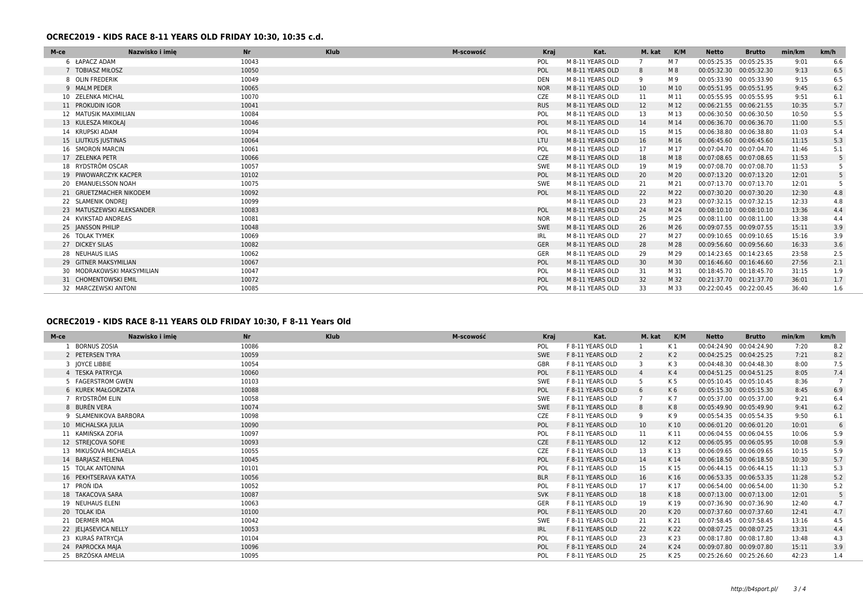#### **OCREC2019 - KIDS RACE 8-11 YEARS OLD FRIDAY 10:30, 10:35 c.d.**

| M-ce | Nazwisko i imie            | <b>Nr</b> | <b>Klub</b> | M-scowość | <b>Kraj</b> | Kat.             | M. kat | K/M  | Netto                   | <b>Brutto</b> | min/km | km/h |
|------|----------------------------|-----------|-------------|-----------|-------------|------------------|--------|------|-------------------------|---------------|--------|------|
|      | 6 ŁAPACZ ADAM              | 10043     |             |           | POL         | M 8-11 YEARS OLD | 7      | M 7  | 00:05:25.35 00:05:25.35 |               | 9:01   | 6.6  |
|      | 7 TOBIASZ MIŁOSZ           | 10050     |             |           | POL         | M 8-11 YEARS OLD | 8      | M8   | 00:05:32.30 00:05:32.30 |               | 9:13   | 6.5  |
|      | 8 OLIN FREDERIK            | 10049     |             |           | <b>DEN</b>  | M 8-11 YEARS OLD | 9      | M 9  | 00:05:33.90 00:05:33.90 |               | 9:15   | 6.5  |
|      | 9 MALM PEDER               | 10065     |             |           | <b>NOR</b>  | M 8-11 YEARS OLD | 10     | M 10 | 00:05:51.95 00:05:51.95 |               | 9:45   | 6.2  |
|      | 10 ZELENKA MICHAL          | 10070     |             |           | CZE         | M 8-11 YEARS OLD | 11     | M 11 | 00:05:55.95 00:05:55.95 |               | 9:51   | 6.1  |
|      | 11 PROKUDIN IGOR           | 10041     |             |           | <b>RUS</b>  | M 8-11 YEARS OLD | 12     | M 12 | 00:06:21.55 00:06:21.55 |               | 10:35  | 5.7  |
|      | 12 MATUSIK MAXIMILIAN      | 10084     |             |           | POL         | M 8-11 YEARS OLD | 13     | M 13 | 00:06:30.50 00:06:30.50 |               | 10:50  | 5.5  |
|      | 13 KULESZA MIKOŁAJ         | 10046     |             |           | POL         | M 8-11 YEARS OLD | 14     | M 14 | 00:06:36.70 00:06:36.70 |               | 11:00  | 5.5  |
|      | 14 KRUPSKI ADAM            | 10094     |             |           | POL         | M 8-11 YEARS OLD | 15     | M 15 | 00:06:38.80 00:06:38.80 |               | 11:03  | 5.4  |
|      | 15 LIUTKUS JUSTINAS        | 10064     |             |           | LTU         | M 8-11 YEARS OLD | 16     | M 16 | 00:06:45.60 00:06:45.60 |               | 11:15  | 5.3  |
|      | 16 SMOROŃ MARCIN           | 10061     |             |           | POL         | M 8-11 YEARS OLD | 17     | M 17 | 00:07:04.70 00:07:04.70 |               | 11:46  | 5.1  |
|      | 17 ZELENKA PETR            | 10066     |             |           | CZE         | M 8-11 YEARS OLD | 18     | M 18 | 00:07:08.65 00:07:08.65 |               | 11:53  | 5    |
|      | 18 RYDSTRÖM OSCAR          | 10057     |             |           | SWE         | M 8-11 YEARS OLD | 19     | M 19 | 00:07:08.70 00:07:08.70 |               | 11:53  | 5    |
|      | 19 PIWOWARCZYK KACPER      | 10102     |             |           | POL         | M 8-11 YEARS OLD | 20     | M 20 | 00:07:13.20 00:07:13.20 |               | 12:01  | 5    |
|      | 20 EMANUELSSON NOAH        | 10075     |             |           | SWE         | M 8-11 YEARS OLD | 21     | M 21 | 00:07:13.70 00:07:13.70 |               | 12:01  | 5    |
|      | 21 GRUETZMACHER NIKODEM    | 10092     |             |           | POL         | M 8-11 YEARS OLD | 22     | M 22 | 00:07:30.20 00:07:30.20 |               | 12:30  | 4.8  |
|      | 22 SLAMENIK ONDREJ         | 10099     |             |           |             | M 8-11 YEARS OLD | 23     | M 23 | 00:07:32.15 00:07:32.15 |               | 12:33  | 4.8  |
|      | 23 MATUSZEWSKI ALEKSANDER  | 10083     |             |           | POL         | M 8-11 YEARS OLD | 24     | M 24 | 00:08:10.10 00:08:10.10 |               | 13:36  | 4.4  |
|      | 24 KVIKSTAD ANDREAS        | 10081     |             |           | <b>NOR</b>  | M 8-11 YEARS OLD | 25     | M 25 | 00:08:11.00 00:08:11.00 |               | 13:38  | 4.4  |
|      | 25 JANSSON PHILIP          | 10048     |             |           | <b>SWE</b>  | M 8-11 YEARS OLD | 26     | M 26 | 00:09:07.55 00:09:07.55 |               | 15:11  | 3.9  |
|      | 26 TOLAK TYMEK             | 10069     |             |           | IRL         | M 8-11 YEARS OLD | 27     | M 27 | 00:09:10.65 00:09:10.65 |               | 15:16  | 3.9  |
|      | 27 DICKEY SILAS            | 10082     |             |           | <b>GER</b>  | M 8-11 YEARS OLD | 28     | M 28 | 00:09:56.60 00:09:56.60 |               | 16:33  | 3.6  |
|      | 28 NEUHAUS ILIAS           | 10062     |             |           | GER         | M 8-11 YEARS OLD | 29     | M 29 | 00:14:23.65 00:14:23.65 |               | 23:58  | 2.5  |
|      | 29 GITNER MAKSYMILIAN      | 10067     |             |           | POL         | M 8-11 YEARS OLD | 30     | M 30 | 00:16:46.60 00:16:46.60 |               | 27:56  | 2.1  |
|      | 30 MODRAKOWSKI MAKSYMILIAN | 10047     |             |           | POL         | M 8-11 YEARS OLD | 31     | M 31 | 00:18:45.70 00:18:45.70 |               | 31:15  | 1.9  |
|      | 31 CHOMENTOWSKI EMIL       | 10072     |             |           | POL         | M 8-11 YEARS OLD | 32     | M 32 | 00:21:37.70 00:21:37.70 |               | 36:01  | 1.7  |
|      | 32 MARCZEWSKI ANTONI       | 10085     |             |           | POL         | M 8-11 YEARS OLD | 33     | M 33 | 00:22:00.45 00:22:00.45 |               | 36:40  | 1.6  |

# **OCREC2019 - KIDS RACE 8-11 YEARS OLD FRIDAY 10:30, F 8-11 Years Old**

| M-ce | Nazwisko i imie       | <b>Nr</b> | <b>Klub</b> | M-scowość | Kraj       | Kat.             | M. kat          | K/M            | <b>Netto</b>            | <b>Brutto</b> | min/km | km/h |
|------|-----------------------|-----------|-------------|-----------|------------|------------------|-----------------|----------------|-------------------------|---------------|--------|------|
|      | <b>BORNUS ZOSIA</b>   | 10086     |             |           | <b>POL</b> | F 8-11 YEARS OLD |                 | K 1            | 00:04:24.90             | 00:04:24.90   | 7:20   | 8.2  |
|      | 2 PETERSEN TYRA       | 10059     |             |           | SWE        | F 8-11 YEARS OLD | 2               | K 2            | 00:04:25.25 00:04:25.25 |               | 7:21   | 8.2  |
|      | 3 JOYCE LIBBIE        | 10054     |             |           | GBR        | F 8-11 YEARS OLD | 3               | K 3            | 00:04:48.30 00:04:48.30 |               | 8:00   | 7.5  |
|      | 4 TESKA PATRYCIA      | 10060     |             |           | POL        | F 8-11 YEARS OLD | $\overline{4}$  | K <sub>4</sub> | 00:04:51.25 00:04:51.25 |               | 8:05   | 7.4  |
|      | 5 FAGERSTROM GWEN     | 10103     |             |           | SWE        | F 8-11 YEARS OLD |                 | K 5            | 00:05:10.45 00:05:10.45 |               | 8:36   |      |
|      | 6 KUREK MAŁGORZATA    | 10088     |             |           | POL        | F 8-11 YEARS OLD | 6               | K6             | 00:05:15.30 00:05:15.30 |               | 8:45   | 6.9  |
|      | 7 RYDSTRÖM ELIN       | 10058     |             |           | <b>SWE</b> | F 8-11 YEARS OLD |                 | K 7            | 00:05:37.00 00:05:37.00 |               | 9:21   | 6.4  |
|      | 8 BURÉN VERA          | 10074     |             |           | SWE        | F 8-11 YEARS OLD | 8               | K8             | 00:05:49.90 00:05:49.90 |               | 9:41   | 6.2  |
|      | 9 SLAMENIKOVA BARBORA | 10098     |             |           | CZE        | F 8-11 YEARS OLD | 9               | K 9            | 00:05:54.35 00:05:54.35 |               | 9:50   | 6.1  |
|      | 10 MICHALSKA JULIA    | 10090     |             |           | POL        | F 8-11 YEARS OLD | 10 <sup>°</sup> | K 10           | 00:06:01.20             | 00:06:01.20   | 10:01  | 6    |
|      | 11 KAMIŃSKA ZOFIA     | 10097     |             |           | POL        | F 8-11 YEARS OLD | 11              | K 11           | 00:06:04.55 00:06:04.55 |               | 10:06  | 5.9  |
|      | 12 STREJCOVA SOFIE    | 10093     |             |           | CZE        | F 8-11 YEARS OLD | 12              | K 12           | 00:06:05.95 00:06:05.95 |               | 10:08  | 5.9  |
|      | 13 MIKUŠOVÁ MICHAELA  | 10055     |             |           | CZE        | F 8-11 YEARS OLD | 13              | K 13           | 00:06:09.65 00:06:09.65 |               | 10:15  | 5.9  |
|      | 14 BARJASZ HELENA     | 10045     |             |           | POL        | F 8-11 YEARS OLD | 14              | K 14           | 00:06:18.50 00:06:18.50 |               | 10:30  | 5.7  |
|      | 15 TOLAK ANTONINA     | 10101     |             |           | <b>POL</b> | F 8-11 YEARS OLD | 15              | K 15           | 00:06:44.15 00:06:44.15 |               | 11:13  | 5.3  |
|      | 16 PEKHTSERAVA KATYA  | 10056     |             |           | <b>BLR</b> | F 8-11 YEARS OLD | 16              | K 16           | 00:06:53.35 00:06:53.35 |               | 11:28  | 5.2  |
|      | 17 PRON IDA           | 10052     |             |           | POL        | F 8-11 YEARS OLD | 17              | K 17           | 00:06:54.00 00:06:54.00 |               | 11:30  | 5.2  |
|      | 18 TAKACOVA SARA      | 10087     |             |           | <b>SVK</b> | F 8-11 YEARS OLD | 18              | K 18           | 00:07:13.00 00:07:13.00 |               | 12:01  |      |
|      | 19 NEUHAUS ELENI      | 10063     |             |           | GER        | F 8-11 YEARS OLD | 19              | K 19           | 00:07:36.90 00:07:36.90 |               | 12:40  | 4.7  |
|      | 20 TOLAK IDA          | 10100     |             |           | POL        | F 8-11 YEARS OLD | 20              | K 20           | 00:07:37.60 00:07:37.60 |               | 12:41  | 4.7  |
|      | 21 DERMER MOA         | 10042     |             |           | <b>SWE</b> | F 8-11 YEARS OLD | 21              | K 21           | 00:07:58.45 00:07:58.45 |               | 13:16  | 4.5  |
|      | 22 JELJASEVICA NELLY  | 10053     |             |           | <b>IRL</b> | F 8-11 YEARS OLD | 22              | K 22           | 00:08:07.25             | 00:08:07.25   | 13:31  | 4.4  |
|      | 23 KURAŚ PATRYCJA     | 10104     |             |           | POL        | F 8-11 YEARS OLD | 23              | K 23           | 00:08:17.80             | 00:08:17.80   | 13:48  | 4.3  |
|      | 24 PAPROCKA MAJA      | 10096     |             |           | POL        | F 8-11 YEARS OLD | 24              | K 24           | 00:09:07.80             | 00:09:07.80   | 15:11  | 3.9  |
|      | 25 BRZÓSKA AMELIA     | 10095     |             |           | POL        | F 8-11 YEARS OLD | 25              | K 25           | 00:25:26.60 00:25:26.60 |               | 42:23  | 1.4  |